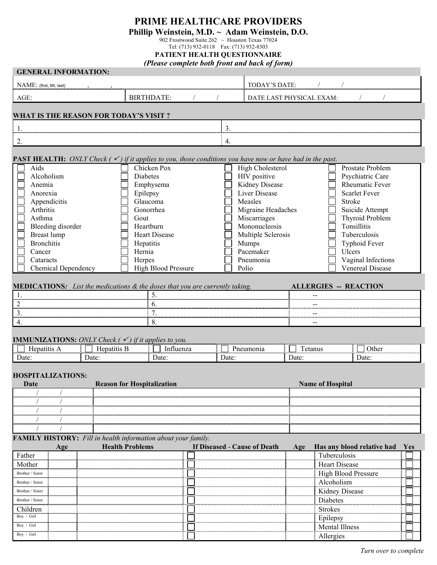## **PRIME HEALTHCARE PROVIDERS**

## **Phillip Weinstein, M.D. ~ Adam Weinstein, D.O.**

902 Frostwood Suite 262 ~ Houston Texas 77024

Tel: (713) 932-0118 Fax: (713) 932-8303

## **PATIENT HEALTH QUESTIONNAIRE**

| (Please complete both front and back of form)                                                                |                            |                                                                                                                              |  |  |  |  |  |  |
|--------------------------------------------------------------------------------------------------------------|----------------------------|------------------------------------------------------------------------------------------------------------------------------|--|--|--|--|--|--|
| <b>GENERAL INFORMATION:</b>                                                                                  |                            |                                                                                                                              |  |  |  |  |  |  |
| NAME: (first, MI, last)                                                                                      |                            | TODAY'S DATE:                                                                                                                |  |  |  |  |  |  |
| AGE:                                                                                                         | <b>BIRTHDATE:</b>          | DATE LAST PHYSICAL EXAM:                                                                                                     |  |  |  |  |  |  |
| <b>WHAT IS THE REASON FOR TODAY'S VISIT?</b>                                                                 |                            |                                                                                                                              |  |  |  |  |  |  |
| 1.                                                                                                           |                            | 3.                                                                                                                           |  |  |  |  |  |  |
| 2.                                                                                                           |                            | 4.                                                                                                                           |  |  |  |  |  |  |
|                                                                                                              |                            |                                                                                                                              |  |  |  |  |  |  |
|                                                                                                              |                            | <b>PAST HEALTH:</b> ONLY Check ( $\checkmark$ ) if it applies to you, those conditions you have now or have had in the past. |  |  |  |  |  |  |
| Aids                                                                                                         | Chicken Pox                | High Cholesterol<br>Prostate Problem                                                                                         |  |  |  |  |  |  |
| Alcoholism<br>Anemia                                                                                         | <b>Diabetes</b>            | HIV positive<br>Psychiatric Care<br><b>Rheumatic Fever</b>                                                                   |  |  |  |  |  |  |
|                                                                                                              | Emphysema                  | Kidney Disease<br>Liver Disease<br><b>Scarlet Fever</b>                                                                      |  |  |  |  |  |  |
| Anorexia<br>Appendicitis                                                                                     | Epilepsy<br>Glaucoma       | Measles<br>Stroke                                                                                                            |  |  |  |  |  |  |
| Arthritis                                                                                                    | Gonorrhea                  | Migraine Headaches<br>Suicide Attempt                                                                                        |  |  |  |  |  |  |
| Asthma                                                                                                       | Gout                       | Thyroid Problem<br>Miscarriages                                                                                              |  |  |  |  |  |  |
| Bleeding disorder                                                                                            | Heartburn                  | Mononucleosis<br>Tonsillitis                                                                                                 |  |  |  |  |  |  |
| Breast lump                                                                                                  | Heart Disease              | Multiple Sclerosis<br>Tuberculosis                                                                                           |  |  |  |  |  |  |
| <b>Bronchitis</b>                                                                                            | Hepatitis                  | Mumps<br>Typhoid Fever                                                                                                       |  |  |  |  |  |  |
| Cancer                                                                                                       | Hernia                     | Pacemaker<br>Ulcers                                                                                                          |  |  |  |  |  |  |
| Cataracts                                                                                                    | Herpes                     | Pneumonia<br>Vaginal Infections                                                                                              |  |  |  |  |  |  |
| Chemical Dependency                                                                                          | <b>High Blood Pressure</b> | Venereal Disease<br>Polio                                                                                                    |  |  |  |  |  |  |
| MEDICATIONS: List the medications & the doses that you are currently taking.<br><b>ALLERGIES -- REACTION</b> |                            |                                                                                                                              |  |  |  |  |  |  |
| 1.                                                                                                           | 5.                         |                                                                                                                              |  |  |  |  |  |  |
| 2                                                                                                            | 6.                         |                                                                                                                              |  |  |  |  |  |  |
| 3.                                                                                                           | 7.                         |                                                                                                                              |  |  |  |  |  |  |
| 4.                                                                                                           | 8.                         |                                                                                                                              |  |  |  |  |  |  |
|                                                                                                              |                            |                                                                                                                              |  |  |  |  |  |  |
| <b>IMMUNIZATIONS:</b> ONLY Check $(\checkmark)$ if it applies to you.                                        |                            |                                                                                                                              |  |  |  |  |  |  |
| Hepatitis A<br>Hepatitis B                                                                                   | Influenza                  | Pneumonia<br>Tetanus<br>Other                                                                                                |  |  |  |  |  |  |
| Date:<br>Date:                                                                                               | Date:                      | Date:<br>Date:<br>Date:                                                                                                      |  |  |  |  |  |  |
| <b>HOSPITALIZATIONS:</b><br><b>Reason for Hospitalization</b><br><b>Name of Hospital</b><br>Date             |                            |                                                                                                                              |  |  |  |  |  |  |
|                                                                                                              |                            |                                                                                                                              |  |  |  |  |  |  |
|                                                                                                              |                            |                                                                                                                              |  |  |  |  |  |  |
|                                                                                                              |                            |                                                                                                                              |  |  |  |  |  |  |
|                                                                                                              |                            |                                                                                                                              |  |  |  |  |  |  |
| FAMILY HISTORY: Fill in health information about your family.                                                |                            |                                                                                                                              |  |  |  |  |  |  |
| Age                                                                                                          | <b>Health Problems</b>     | If Diseased - Cause of Death<br>Has any blood relative had<br>Age<br>Yes                                                     |  |  |  |  |  |  |
| Father                                                                                                       |                            | Tuberculosis                                                                                                                 |  |  |  |  |  |  |
| Mother                                                                                                       |                            | <b>Heart Disease</b>                                                                                                         |  |  |  |  |  |  |
| Brother / Sister                                                                                             |                            | <b>High Blood Pressure</b>                                                                                                   |  |  |  |  |  |  |
| Brother / Sister                                                                                             |                            | Alcoholism                                                                                                                   |  |  |  |  |  |  |
| Brother / Sister                                                                                             |                            | Kidney Disease                                                                                                               |  |  |  |  |  |  |
| Brother / Sister                                                                                             |                            | Diabetes                                                                                                                     |  |  |  |  |  |  |
| Children<br>Boy / Girl                                                                                       |                            | <b>Strokes</b>                                                                                                               |  |  |  |  |  |  |
|                                                                                                              |                            | Epilepsy                                                                                                                     |  |  |  |  |  |  |
| Boy / Girl                                                                                                   |                            | <b>Mental Illness</b>                                                                                                        |  |  |  |  |  |  |
| Boy / Girl                                                                                                   |                            | Allergies                                                                                                                    |  |  |  |  |  |  |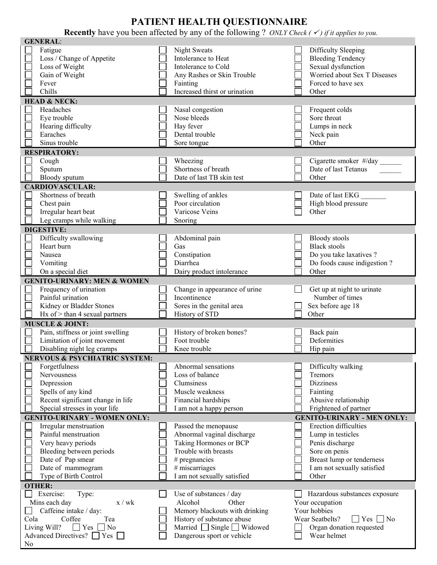## **PATIENT HEALTH QUESTIONNAIRE**

**Recently** have you been affected by any of the following ? *ONLY Check* ( $\checkmark$ ) if it applies to you.

|                | <b>GENERAL:</b>                                |                                      |                                         |
|----------------|------------------------------------------------|--------------------------------------|-----------------------------------------|
|                | Fatigue                                        | <b>Night Sweats</b>                  | Difficulty Sleeping                     |
|                | Loss / Change of Appetite                      | Intolerance to Heat                  | <b>Bleeding Tendency</b>                |
|                | Loss of Weight                                 | Intolerance to Cold                  | Sexual dysfunction                      |
|                | Gain of Weight                                 | Any Rashes or Skin Trouble           | Worried about Sex T Diseases            |
|                |                                                |                                      |                                         |
|                | Fever                                          | Fainting                             | Forced to have sex                      |
|                | Chills                                         | Increased thirst or urination        | Other                                   |
|                | <b>HEAD &amp; NECK:</b>                        |                                      |                                         |
|                | Headaches                                      | Nasal congestion                     | Frequent colds                          |
|                | Eye trouble                                    | Nose bleeds                          | Sore throat                             |
|                | Hearing difficulty                             | Hay fever                            | Lumps in neck                           |
|                | Earaches                                       | Dental trouble                       | Neck pain                               |
|                | Sinus trouble                                  | Sore tongue                          | Other                                   |
|                | <b>RESPIRATORY:</b>                            |                                      |                                         |
|                |                                                | Wheezing                             | Cigarette smoker #/day                  |
|                | Cough                                          | Shortness of breath                  | Date of last Tetanus                    |
|                | Sputum                                         |                                      |                                         |
|                | Bloody sputum                                  | Date of last TB skin test            | Other                                   |
|                | <b>CARDIOVASCULAR:</b>                         |                                      |                                         |
|                | Shortness of breath                            | Swelling of ankles                   | Date of last EKG                        |
|                | Chest pain                                     | Poor circulation                     | High blood pressure                     |
|                | Irregular heart beat                           | Varicose Veins                       | Other                                   |
|                | Leg cramps while walking                       | Snoring                              |                                         |
|                | <b>DIGESTIVE:</b>                              |                                      |                                         |
|                | Difficulty swallowing                          | Abdominal pain                       | <b>Bloody</b> stools                    |
|                | Heart burn                                     | Gas                                  | <b>Black stools</b>                     |
|                | Nausea                                         |                                      |                                         |
|                |                                                | Constipation                         | Do you take laxatives ?                 |
|                | Vomiting                                       | Diarrhea                             | Do foods cause indigestion?             |
|                | On a special diet                              | Dairy product intolerance            | Other                                   |
|                | <b>GENITO-URINARY: MEN &amp; WOMEN</b>         |                                      |                                         |
|                | Frequency of urination                         | Change in appearance of urine        | Get up at night to urinate              |
|                | Painful urination                              | Incontinence                         | Number of times                         |
|                | Kidney or Bladder Stones                       | Sores in the genital area            | Sex before age 18                       |
|                | Hx of > than 4 sexual partners                 | History of STD                       | Other                                   |
|                | <b>MUSCLE &amp; JOINT:</b>                     |                                      |                                         |
|                | Pain, stiffness or joint swelling              | History of broken bones?             | Back pain                               |
|                | Limitation of joint movement                   | Foot trouble                         |                                         |
|                |                                                |                                      | Deformities                             |
|                | Disabling night leg cramps                     | Knee trouble                         | Hip pain                                |
|                | <b>NERVOUS &amp; PSYCHIATRIC SYSTEM:</b>       |                                      |                                         |
|                | Forgetfulness                                  | Abnormal sensations                  | Difficulty walking                      |
|                | Nervousness                                    | Loss of balance                      | Tremors                                 |
|                | Depression                                     | Clumsiness                           | <b>Dizziness</b>                        |
|                | Spells of any kind                             | Muscle weakness                      | Fainting                                |
|                | Recent significant change in life              | Financial hardships                  | Abusive relationship                    |
|                | Special stresses in your life                  | I am not a happy person              | Frightened of partner                   |
|                | <b>GENITO-URINARY - WOMEN ONLY:</b>            |                                      | <b>GENITO-URINARY - MEN ONLY:</b>       |
|                |                                                |                                      | Erection difficulties                   |
|                | Irregular menstruation                         | Passed the menopause                 |                                         |
|                | Painful menstruation                           | Abnormal vaginal discharge           | Lump in testicles                       |
|                | Very heavy periods                             | Taking Hormones or BCP               | Penis discharge                         |
|                | Bleeding between periods                       | Trouble with breasts                 | Sore on penis                           |
|                | Date of Pap smear                              | $#$ pregnancies                      | Breast lump or tenderness               |
|                | Date of mammogram                              | # miscarriages                       | I am not sexually satisfied             |
|                | Type of Birth Control                          | I am not sexually satisfied          | Other                                   |
|                | <b>OTHER:</b>                                  |                                      |                                         |
|                | Exercise:<br>Type:                             | Use of substances / day              | Hazardous substances exposure           |
|                | Mins each day<br>x / wk                        | Alcohol<br>Other                     | Your occupation                         |
|                | Caffeine intake / day:                         | Memory blackouts with drinking       | Your hobbies                            |
| Cola           | Coffee<br>Tea                                  | History of substance abuse           | Wear Seatbelts?<br>$\Box$ Yes $\Box$ No |
|                | Living Will?<br>$\Box$ No<br>$\Box$ Yes $\Box$ | Married $\Box$ Single $\Box$ Widowed | Organ donation requested                |
|                | Advanced Directives? $\Box$ Yes [              | Dangerous sport or vehicle           |                                         |
|                |                                                |                                      | Wear helmet                             |
| N <sub>0</sub> |                                                |                                      |                                         |